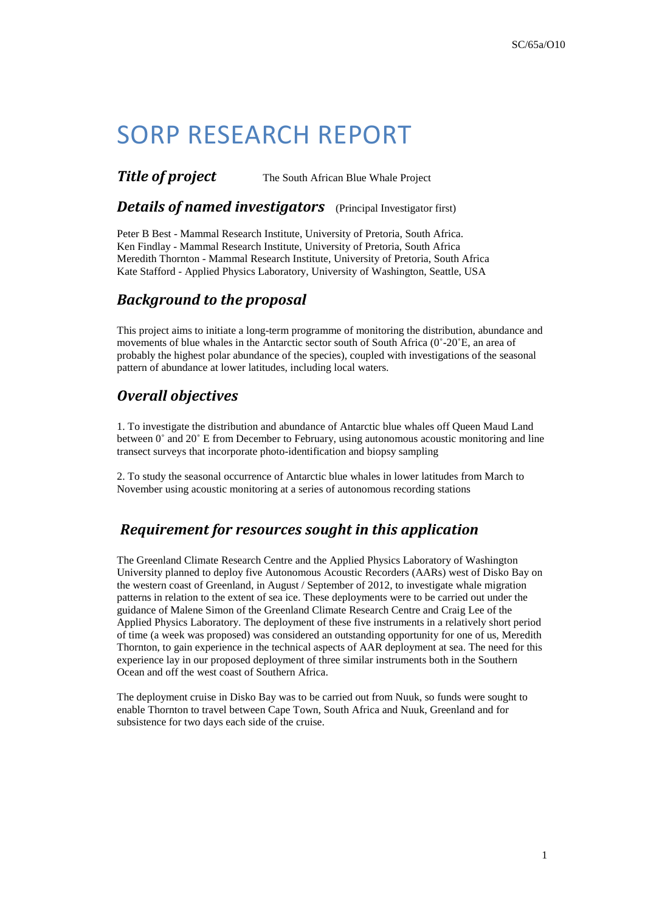# SORP RESEARCH REPORT

### **Title of project** The South African Blue Whale Project

### *Details of named investigators* (Principal Investigator first)

Peter B Best - Mammal Research Institute, University of Pretoria, South Africa. Ken Findlay - Mammal Research Institute, University of Pretoria, South Africa Meredith Thornton - Mammal Research Institute, University of Pretoria, South Africa Kate Stafford - Applied Physics Laboratory, University of Washington, Seattle, USA

### *Background to the proposal*

This project aims to initiate a long-term programme of monitoring the distribution, abundance and movements of blue whales in the Antarctic sector south of South Africa (0˚-20˚E, an area of probably the highest polar abundance of the species), coupled with investigations of the seasonal pattern of abundance at lower latitudes, including local waters.

## *Overall objectives*

1. To investigate the distribution and abundance of Antarctic blue whales off Queen Maud Land between 0˚ and 20˚ E from December to February, using autonomous acoustic monitoring and line transect surveys that incorporate photo-identification and biopsy sampling

2. To study the seasonal occurrence of Antarctic blue whales in lower latitudes from March to November using acoustic monitoring at a series of autonomous recording stations

### *Requirement for resources sought in this application*

The Greenland Climate Research Centre and the Applied Physics Laboratory of Washington University planned to deploy five Autonomous Acoustic Recorders (AARs) west of Disko Bay on the western coast of Greenland, in August / September of 2012, to investigate whale migration patterns in relation to the extent of sea ice. These deployments were to be carried out under the guidance of Malene Simon of the Greenland Climate Research Centre and Craig Lee of the Applied Physics Laboratory. The deployment of these five instruments in a relatively short period of time (a week was proposed) was considered an outstanding opportunity for one of us, Meredith Thornton, to gain experience in the technical aspects of AAR deployment at sea. The need for this experience lay in our proposed deployment of three similar instruments both in the Southern Ocean and off the west coast of Southern Africa.

The deployment cruise in Disko Bay was to be carried out from Nuuk, so funds were sought to enable Thornton to travel between Cape Town, South Africa and Nuuk, Greenland and for subsistence for two days each side of the cruise.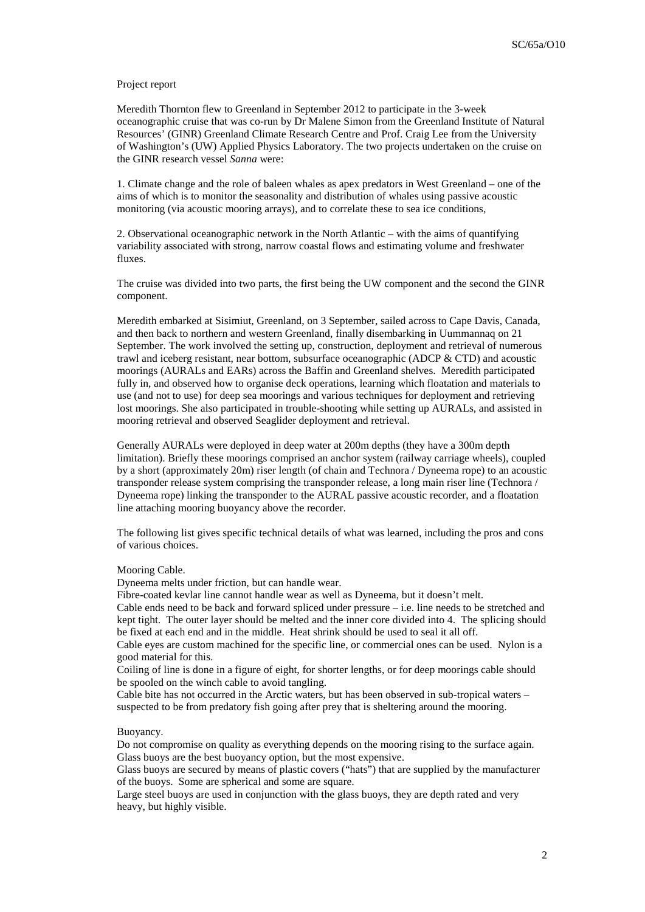#### Project report

Meredith Thornton flew to Greenland in September 2012 to participate in the 3-week oceanographic cruise that was co-run by Dr Malene Simon from the Greenland Institute of Natural Resources' (GINR) Greenland Climate Research Centre and Prof. Craig Lee from the University of Washington's (UW) Applied Physics Laboratory. The two projects undertaken on the cruise on the GINR research vessel *Sanna* were:

[1. Climate change and the role of baleen whales as apex predators in West Greenland](http://www.natur.gl/en/climate-research-centre/research-projects/baleen-whales/) – one of the aims of which is to monitor the seasonality and distribution of whales using passive acoustic monitoring (via acoustic mooring arrays), and to correlate these to sea ice conditions,

2. Observational oceanographic network in the North Atlantic – with the aims of quantifying variability associated with strong, narrow coastal flows and estimating volume and freshwater fluxes.

The cruise was divided into two parts, the first being the UW component and the second the GINR component.

Meredith embarked at Sisimiut, Greenland, on 3 September, sailed across to Cape Davis, Canada, and then back to northern and western Greenland, finally disembarking in Uummannaq on 21 September. The work involved the setting up, construction, deployment and retrieval of numerous trawl and iceberg resistant, near bottom, subsurface oceanographic (ADCP & CTD) and acoustic moorings (AURALs and EARs) across the Baffin and Greenland shelves. Meredith participated fully in, and observed how to organise deck operations, learning which floatation and materials to use (and not to use) for deep sea moorings and various techniques for deployment and retrieving lost moorings. She also participated in trouble-shooting while setting up AURALs, and assisted in mooring retrieval and observed Seaglider deployment and retrieval.

Generally AURALs were deployed in deep water at 200m depths (they have a 300m depth limitation). Briefly these moorings comprised an anchor system (railway carriage wheels), coupled by a short (approximately 20m) riser length (of chain and Technora / Dyneema rope) to an acoustic transponder release system comprising the transponder release, a long main riser line (Technora / Dyneema rope) linking the transponder to the AURAL passive acoustic recorder, and a floatation line attaching mooring buoyancy above the recorder.

The following list gives specific technical details of what was learned, including the pros and cons of various choices.

#### Mooring Cable.

Dyneema melts under friction, but can handle wear.

Fibre-coated kevlar line cannot handle wear as well as Dyneema, but it doesn't melt.

Cable ends need to be back and forward spliced under pressure – i.e. line needs to be stretched and kept tight. The outer layer should be melted and the inner core divided into 4. The splicing should be fixed at each end and in the middle. Heat shrink should be used to seal it all off.

Cable eyes are custom machined for the specific line, or commercial ones can be used. Nylon is a good material for this.

Coiling of line is done in a figure of eight, for shorter lengths, or for deep moorings cable should be spooled on the winch cable to avoid tangling.

Cable bite has not occurred in the Arctic waters, but has been observed in sub-tropical waters – suspected to be from predatory fish going after prey that is sheltering around the mooring.

#### Buoyancy.

Do not compromise on quality as everything depends on the mooring rising to the surface again. Glass buoys are the best buoyancy option, but the most expensive.

Glass buoys are secured by means of plastic covers ("hats") that are supplied by the manufacturer of the buoys. Some are spherical and some are square.

Large steel buoys are used in conjunction with the glass buoys, they are depth rated and very heavy, but highly visible.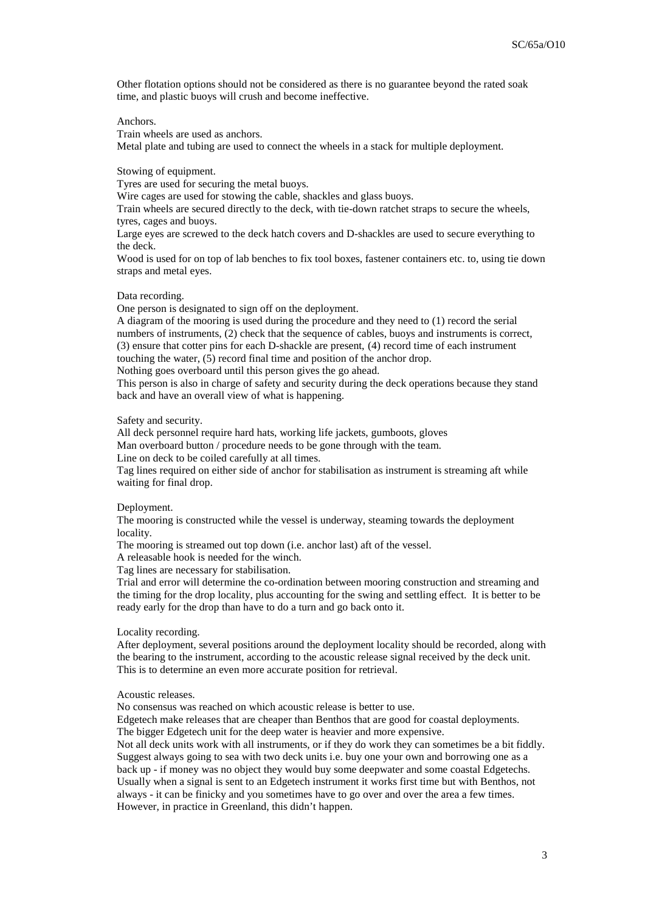Other flotation options should not be considered as there is no guarantee beyond the rated soak time, and plastic buoys will crush and become ineffective.

Anchors.

Train wheels are used as anchors.

Metal plate and tubing are used to connect the wheels in a stack for multiple deployment.

Stowing of equipment.

Tyres are used for securing the metal buoys.

Wire cages are used for stowing the cable, shackles and glass buoys.

Train wheels are secured directly to the deck, with tie-down ratchet straps to secure the wheels, tyres, cages and buoys.

Large eyes are screwed to the deck hatch covers and D-shackles are used to secure everything to the deck.

Wood is used for on top of lab benches to fix tool boxes, fastener containers etc. to, using tie down straps and metal eyes.

Data recording.

One person is designated to sign off on the deployment.

A diagram of the mooring is used during the procedure and they need to (1) record the serial numbers of instruments, (2) check that the sequence of cables, buoys and instruments is correct, (3) ensure that cotter pins for each D-shackle are present, (4) record time of each instrument touching the water, (5) record final time and position of the anchor drop. Nothing goes overboard until this person gives the go ahead.

This person is also in charge of safety and security during the deck operations because they stand

back and have an overall view of what is happening.

Safety and security.

All deck personnel require hard hats, working life jackets, gumboots, gloves Man overboard button / procedure needs to be gone through with the team.

Line on deck to be coiled carefully at all times.

Tag lines required on either side of anchor for stabilisation as instrument is streaming aft while waiting for final drop.

#### Deployment.

The mooring is constructed while the vessel is underway, steaming towards the deployment locality.

The mooring is streamed out top down (i.e. anchor last) aft of the vessel.

A releasable hook is needed for the winch.

Tag lines are necessary for stabilisation.

Trial and error will determine the co-ordination between mooring construction and streaming and the timing for the drop locality, plus accounting for the swing and settling effect. It is better to be ready early for the drop than have to do a turn and go back onto it.

Locality recording.

After deployment, several positions around the deployment locality should be recorded, along with the bearing to the instrument, according to the acoustic release signal received by the deck unit. This is to determine an even more accurate position for retrieval.

Acoustic releases.

No consensus was reached on which acoustic release is better to use.

Edgetech make releases that are cheaper than Benthos that are good for coastal deployments. The bigger Edgetech unit for the deep water is heavier and more expensive.

Not all deck units work with all instruments, or if they do work they can sometimes be a bit fiddly. Suggest always going to sea with two deck units i.e. buy one your own and borrowing one as a back up - if money was no object they would buy some deepwater and some coastal Edgetechs. Usually when a signal is sent to an Edgetech instrument it works first time but with Benthos, not always - it can be finicky and you sometimes have to go over and over the area a few times. However, in practice in Greenland, this didn't happen.